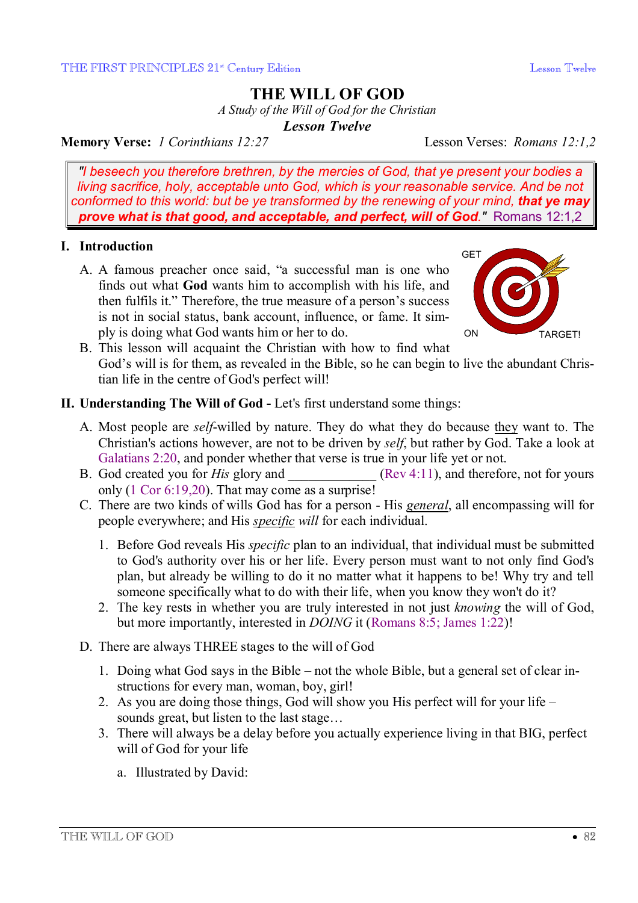# **THE WILL OF GOD**

*A Study of the Will of God for the Christian* 

*Lesson Twelve* 

**Memory Verse:** *1 Corinthians 12:27* Lesson Verses: *Romans 12:1,2*

*"I beseech you therefore brethren, by the mercies of God, that ye present your bodies a living sacrifice, holy, acceptable unto God, which is your reasonable service. And be not conformed to this world: but be ye transformed by the renewing of your mind, that ye may prove what is that good, and acceptable, and perfect, will of God."* Romans 12:1,2

## **I. Introduction**

A. A famous preacher once said, "a successful man is one who finds out what **God** wants him to accomplish with his life, and then fulfils it." Therefore, the true measure of a person's success is not in social status, bank account, influence, or fame. It simply is doing what God wants him or her to do.



B. This lesson will acquaint the Christian with how to find what God's will is for them, as revealed in the Bible, so he can begin to live the abundant Christian life in the centre of God's perfect will!

## **II. Understanding The Will of God -** Let's first understand some things:

- A. Most people are *self*-willed by nature. They do what they do because they want to. The Christian's actions however, are not to be driven by *self*, but rather by God. Take a look at Galatians 2:20, and ponder whether that verse is true in your life yet or not.
- B. God created you for *His* glory and  $(Rev 4:11)$ , and therefore, not for yours only (1 Cor 6:19,20). That may come as a surprise!
- C. There are two kinds of wills God has for a person His *general*, all encompassing will for people everywhere; and His *specific will* for each individual.
	- 1. Before God reveals His *specific* plan to an individual, that individual must be submitted to God's authority over his or her life. Every person must want to not only find God's plan, but already be willing to do it no matter what it happens to be! Why try and tell someone specifically what to do with their life, when you know they won't do it?
	- 2. The key rests in whether you are truly interested in not just *knowing* the will of God, but more importantly, interested in *DOING* it (Romans 8:5; James 1:22)!
- D. There are always THREE stages to the will of God
	- 1. Doing what God says in the Bible not the whole Bible, but a general set of clear instructions for every man, woman, boy, girl!
	- 2. As you are doing those things, God will show you His perfect will for your life sounds great, but listen to the last stage...
	- 3. There will always be a delay before you actually experience living in that BIG, perfect will of God for your life
		- a. Illustrated by David: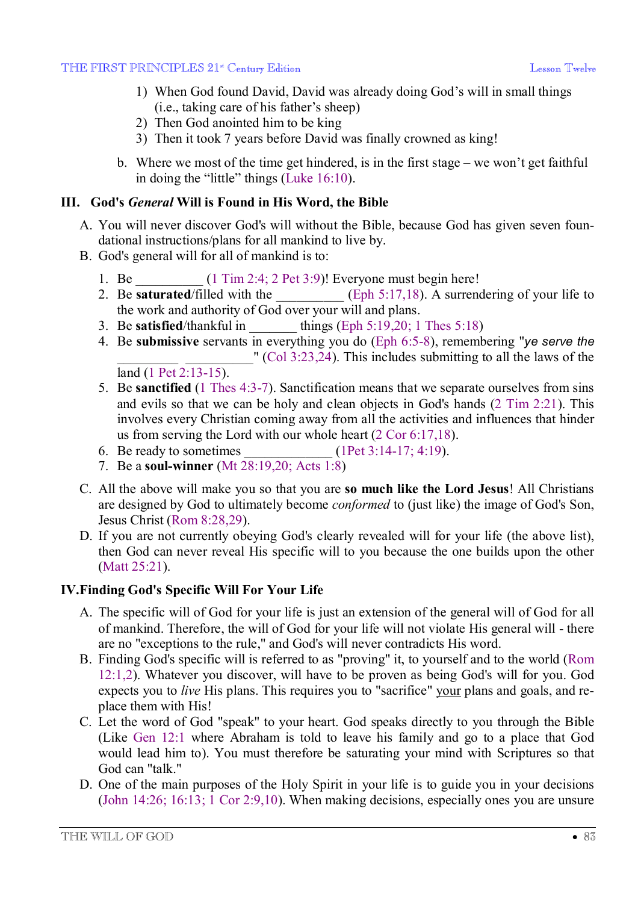- 1) When God found David, David was already doing God's will in small things (i.e., taking care of his father's sheep)
- 2) Then God anointed him to be king
- 3) Then it took 7 years before David was finally crowned as king!
- b. Where we most of the time get hindered, is in the first stage we won't get faithful in doing the "little" things (Luke 16:10).

## **III. God's** *General* **Will is Found in His Word, the Bible**

- A. You will never discover God's will without the Bible, because God has given seven foundational instructions/plans for all mankind to live by.
- B. God's general will for all of mankind is to:
	- 1. Be  $(1 \text{ Tim } 2.4; 2 \text{ Pet } 3.9)!$  Everyone must begin here!
	- 2. Be **saturated**/filled with the **Example 2.** (Eph 5:17,18). A surrendering of your life to the work and authority of God over your will and plans.
	- 3. Be **satisfied**/thankful in things (Eph  $5:19,20; 1$  Thes  $5:18$ )
	- 4. Be **submissive** servants in everything you do (Eph 6:5-8), remembering "*ye serve the*  $''$  (Col 3:23,24). This includes submitting to all the laws of the land (1 Pet 2:13-15).
	- 5. Be **sanctified** (1 Thes 4:3-7). Sanctification means that we separate ourselves from sins and evils so that we can be holy and clean objects in God's hands (2 Tim 2:21). This involves every Christian coming away from all the activities and influences that hinder us from serving the Lord with our whole heart  $(2 \text{ Cor } 6:17,18)$ .<br>Be ready to sometimes (1Pet 3:14-17: 4:19).
	- 6. Be ready to sometimes
	- 7. Be a **soul-winner** (Mt 28:19,20; Acts 1:8)
- C. All the above will make you so that you are **so much like the Lord Jesus**! All Christians are designed by God to ultimately become *conformed* to (just like) the image of God's Son, Jesus Christ (Rom 8:28,29).
- D. If you are not currently obeying God's clearly revealed will for your life (the above list), then God can never reveal His specific will to you because the one builds upon the other (Matt 25:21).

## **IV.Finding God's Specific Will For Your Life**

- A. The specific will of God for your life is just an extension of the general will of God for all of mankind. Therefore, the will of God for your life will not violate His general will - there are no "exceptions to the rule," and God's will never contradicts His word.
- B. Finding God's specific will is referred to as "proving" it, to yourself and to the world (Rom 12:1,2). Whatever you discover, will have to be proven as being God's will for you. God expects you to *live* His plans. This requires you to "sacrifice" your plans and goals, and replace them with His!
- C. Let the word of God "speak" to your heart. God speaks directly to you through the Bible (Like Gen 12:1 where Abraham is told to leave his family and go to a place that God would lead him to). You must therefore be saturating your mind with Scriptures so that God can "talk."
- D. One of the main purposes of the Holy Spirit in your life is to guide you in your decisions (John 14:26; 16:13; 1 Cor 2:9,10). When making decisions, especially ones you are unsure